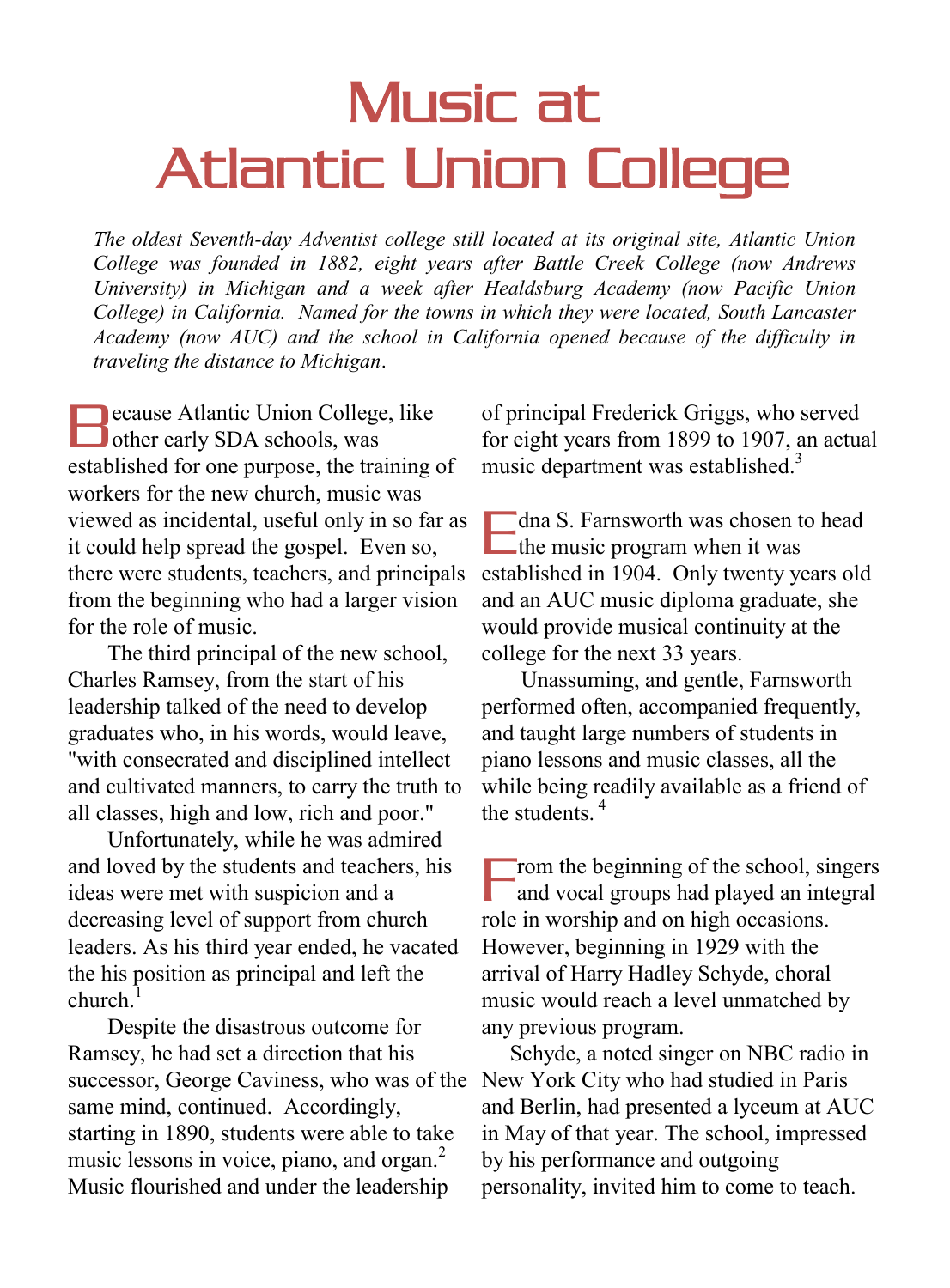## Music at Atlantic Union College

*The oldest Seventh-day Adventist college still located at its original site, Atlantic Union College was founded in 1882, eight years after Battle Creek College (now Andrews University) in Michigan and a week after Healdsburg Academy (now Pacific Union College) in California. Named for the towns in which they were located, South Lancaster Academy (now AUC) and the school in California opened because of the difficulty in traveling the distance to Michigan*.

**Recause Atlantic Union College, like Decause Atlantic Union College**<br>
other early SDA schools, was established for one purpose, the training of workers for the new church, music was viewed as incidental, useful only in so far as it could help spread the gospel. Even so, there were students, teachers, and principals from the beginning who had a larger vision for the role of music.

 The third principal of the new school, Charles Ramsey, from the start of his leadership talked of the need to develop graduates who, in his words, would leave, "with consecrated and disciplined intellect and cultivated manners, to carry the truth to all classes, high and low, rich and poor."

 Unfortunately, while he was admired and loved by the students and teachers, his ideas were met with suspicion and a decreasing level of support from church leaders. As his third year ended, he vacated the his position as principal and left the church.<sup>1</sup>

 Despite the disastrous outcome for Ramsey, he had set a direction that his successor, George Caviness, who was of the same mind, continued. Accordingly, starting in 1890, students were able to take music lessons in voice, piano, and organ. $<sup>2</sup>$ </sup> Music flourished and under the leadership

of principal Frederick Griggs, who served for eight years from 1899 to 1907, an actual music department was established.<sup>3</sup>

dna S. Farnsworth was chosen to head I dna S. Farnsworth was chosen to<br>
the music program when it was established in 1904. Only twenty years old and an AUC music diploma graduate, she would provide musical continuity at the college for the next 33 years.

 Unassuming, and gentle, Farnsworth performed often, accompanied frequently, and taught large numbers of students in piano lessons and music classes, all the while being readily available as a friend of the students.<sup>4</sup>

rom the beginning of the school, singers and vocal groups had played an integral role in worship and on high occasions. However, beginning in 1929 with the arrival of Harry Hadley Schyde, choral music would reach a level unmatched by any previous program. F

 Schyde, a noted singer on NBC radio in New York City who had studied in Paris and Berlin, had presented a lyceum at AUC in May of that year. The school, impressed by his performance and outgoing personality, invited him to come to teach.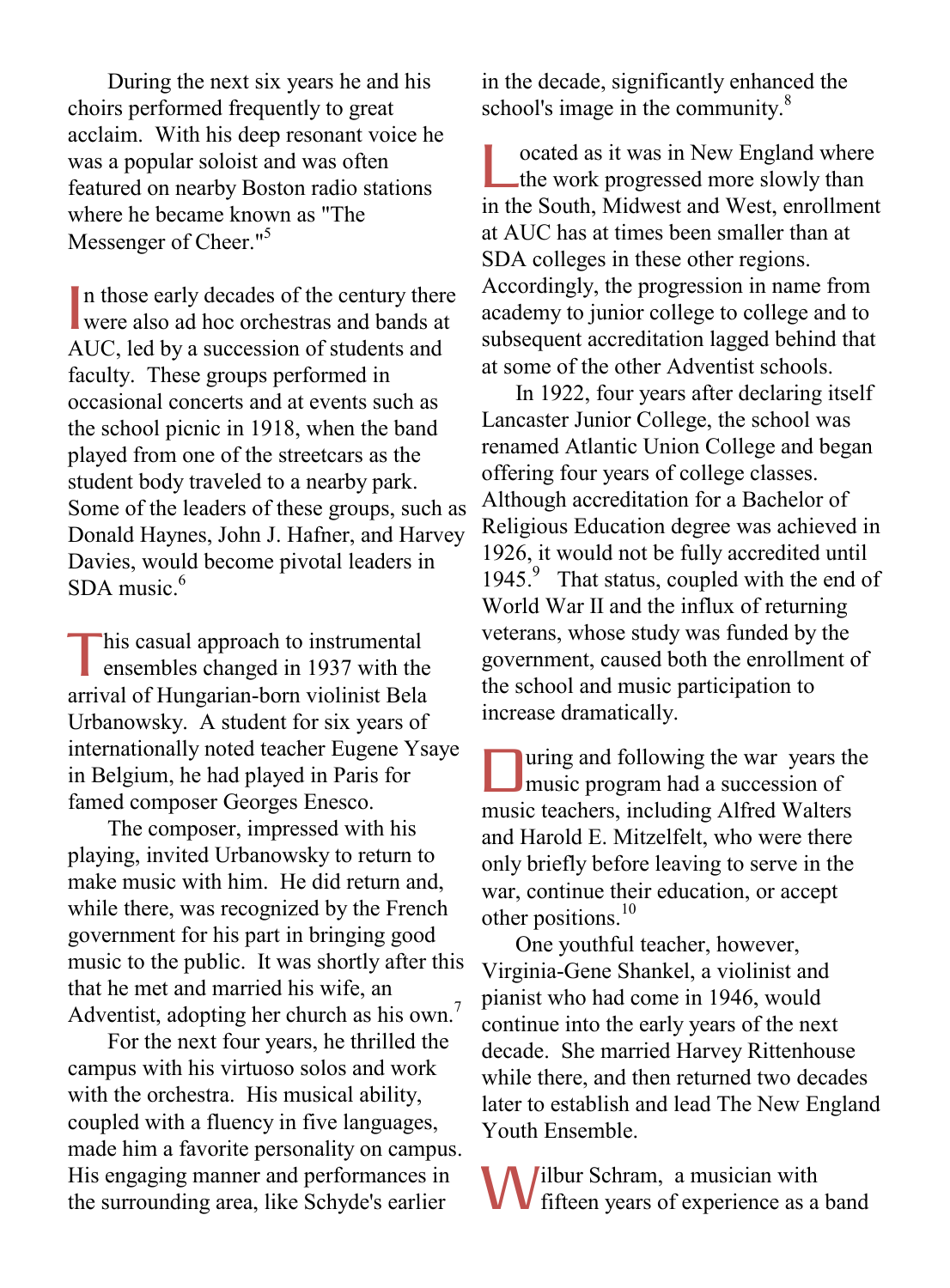During the next six years he and his choirs performed frequently to great acclaim. With his deep resonant voice he was a popular soloist and was often featured on nearby Boston radio stations where he became known as "The Messenger of Cheer."<sup>5</sup>

In those early decades of the century there<br>were also ad hoc orchestras and bands at were also ad hoc orchestras and bands at AUC, led by a succession of students and faculty. These groups performed in occasional concerts and at events such as the school picnic in 1918, when the band played from one of the streetcars as the student body traveled to a nearby park. Some of the leaders of these groups, such as Donald Haynes, John J. Hafner, and Harvey Davies, would become pivotal leaders in SDA music. $6$ 

his casual approach to instrumental ensembles changed in 1937 with the arrival of Hungarian-born violinist Bela Urbanowsky. A student for six years of internationally noted teacher Eugene Ysaye in Belgium, he had played in Paris for famed composer Georges Enesco. T

 The composer, impressed with his playing, invited Urbanowsky to return to make music with him. He did return and, while there, was recognized by the French government for his part in bringing good music to the public. It was shortly after this that he met and married his wife, an Adventist, adopting her church as his own.<sup>7</sup>

 For the next four years, he thrilled the campus with his virtuoso solos and work with the orchestra. His musical ability, coupled with a fluency in five languages, made him a favorite personality on campus. His engaging manner and performances in the surrounding area, like Schyde's earlier

in the decade, significantly enhanced the school's image in the community.<sup>8</sup>

ocated as it was in New England where the work progressed more slowly than in the South, Midwest and West, enrollment at AUC has at times been smaller than at SDA colleges in these other regions. Accordingly, the progression in name from academy to junior college to college and to subsequent accreditation lagged behind that at some of the other Adventist schools. L

 In 1922, four years after declaring itself Lancaster Junior College, the school was renamed Atlantic Union College and began offering four years of college classes. Although accreditation for a Bachelor of Religious Education degree was achieved in 1926, it would not be fully accredited until 1945.<sup>9</sup> That status, coupled with the end of World War II and the influx of returning veterans, whose study was funded by the government, caused both the enrollment of the school and music participation to increase dramatically.

uring and following the war years the music program had a succession of music teachers, including Alfred Walters and Harold E. Mitzelfelt, who were there only briefly before leaving to serve in the war, continue their education, or accept other positions. $10$ D

 One youthful teacher, however, Virginia-Gene Shankel, a violinist and pianist who had come in 1946, would continue into the early years of the next decade. She married Harvey Rittenhouse while there, and then returned two decades later to establish and lead The New England Youth Ensemble.

ilbur Schram, a musician with fifteen years of experience as a band W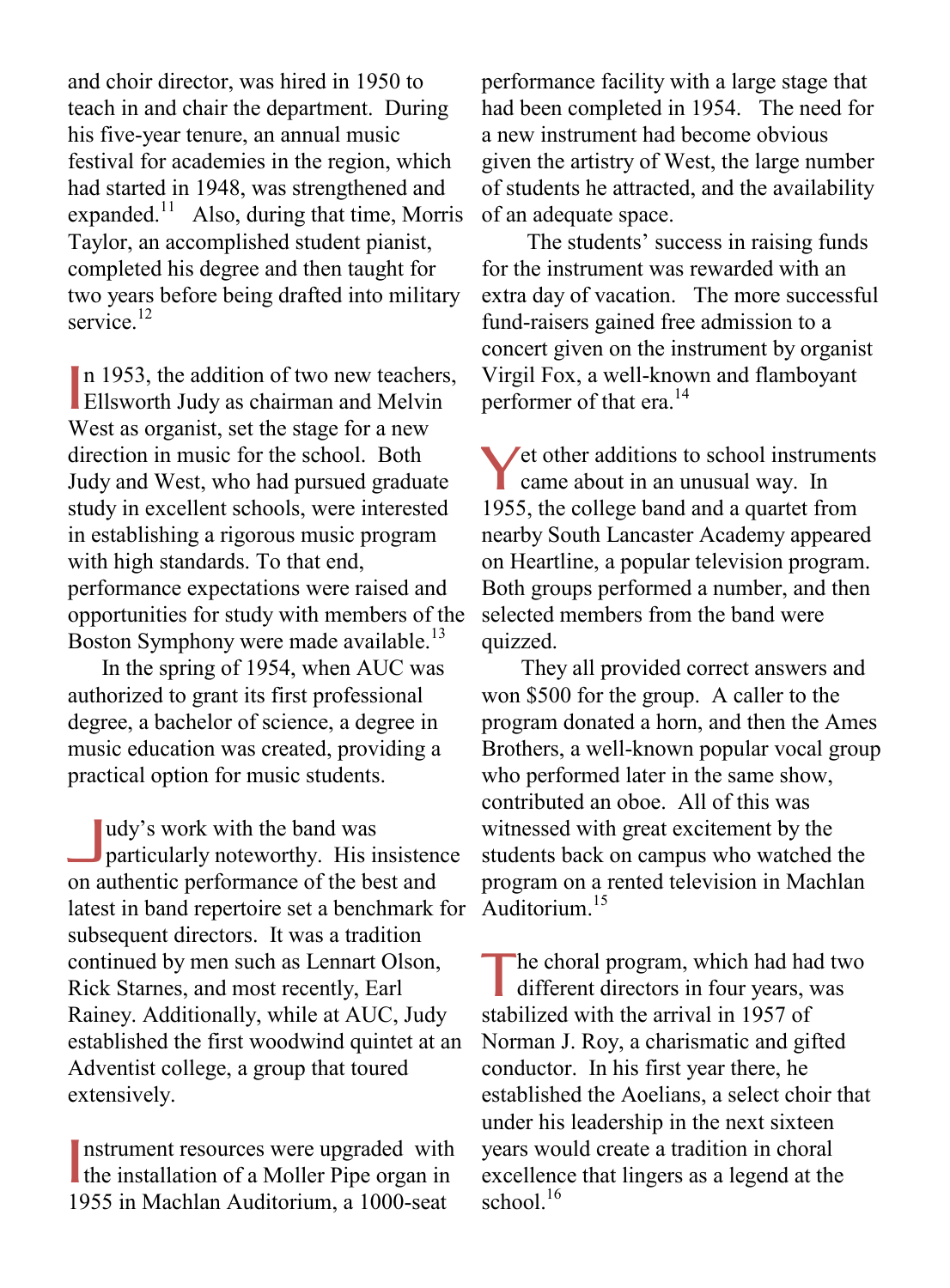and choir director, was hired in 1950 to teach in and chair the department. During his five-year tenure, an annual music festival for academies in the region, which had started in 1948, was strengthened and expanded.<sup>11</sup> Also, during that time, Morris Taylor, an accomplished student pianist, completed his degree and then taught for two years before being drafted into military service<sup>12</sup>

In 1953, the addition of two new teachers, In 1953, the addition of two new teachers<br>Ellsworth Judy as chairman and Melvin West as organist, set the stage for a new direction in music for the school. Both Judy and West, who had pursued graduate study in excellent schools, were interested in establishing a rigorous music program with high standards. To that end, performance expectations were raised and opportunities for study with members of the Boston Symphony were made available.<sup>13</sup>

 In the spring of 1954, when AUC was authorized to grant its first professional degree, a bachelor of science, a degree in music education was created, providing a practical option for music students.

udy's work with the band was particularly noteworthy. His insistence on authentic performance of the best and latest in band repertoire set a benchmark for subsequent directors. It was a tradition continued by men such as Lennart Olson, Rick Starnes, and most recently, Earl Rainey. Additionally, while at AUC, Judy established the first woodwind quintet at an Adventist college, a group that toured extensively. J

nstrument resources were upgraded with Instrument resources were upgraded with<br>the installation of a Moller Pipe organ in 1955 in Machlan Auditorium, a 1000-seat

performance facility with a large stage that had been completed in 1954. The need for a new instrument had become obvious given the artistry of West, the large number of students he attracted, and the availability of an adequate space.

 The students' success in raising funds for the instrument was rewarded with an extra day of vacation. The more successful fund-raisers gained free admission to a concert given on the instrument by organist Virgil Fox, a well-known and flamboyant performer of that era.<sup>14</sup>

Yet other additions to school instruments<br>came about in an unusual way. In came about in an unusual way. In 1955, the college band and a quartet from nearby South Lancaster Academy appeared on Heartline, a popular television program. Both groups performed a number, and then selected members from the band were quizzed.

 They all provided correct answers and won \$500 for the group. A caller to the program donated a horn, and then the Ames Brothers, a well-known popular vocal group who performed later in the same show, contributed an oboe. All of this was witnessed with great excitement by the students back on campus who watched the program on a rented television in Machlan Auditorium $15$ 

he choral program, which had had two The choral program, which had had two different directors in four years, was stabilized with the arrival in 1957 of Norman J. Roy, a charismatic and gifted conductor. In his first year there, he established the Aoelians, a select choir that under his leadership in the next sixteen years would create a tradition in choral excellence that lingers as a legend at the school $16$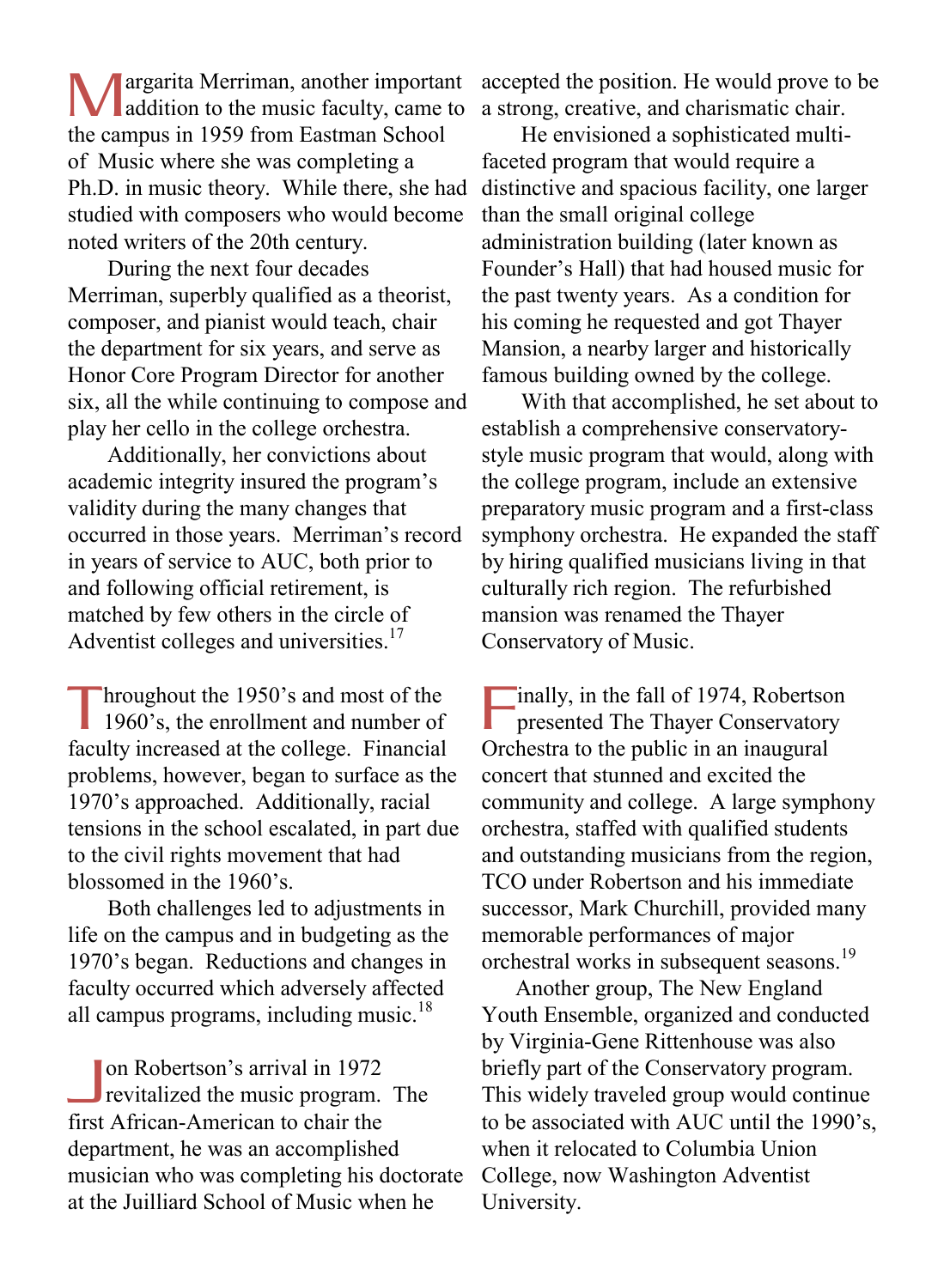argarita Merriman, another important **Manufacture 1978** and Merriman, another important addition to the music faculty, came to the campus in 1959 from Eastman School of Music where she was completing a Ph.D. in music theory. While there, she had studied with composers who would become noted writers of the 20th century.

 During the next four decades Merriman, superbly qualified as a theorist, composer, and pianist would teach, chair the department for six years, and serve as Honor Core Program Director for another six, all the while continuing to compose and play her cello in the college orchestra.

 Additionally, her convictions about academic integrity insured the program's validity during the many changes that occurred in those years. Merriman's record in years of service to AUC, both prior to and following official retirement, is matched by few others in the circle of Adventist colleges and universities.<sup>17</sup>

hroughout the 1950's and most of the 1960's, the enrollment and number of faculty increased at the college. Financial problems, however, began to surface as the 1970's approached. Additionally, racial tensions in the school escalated, in part due to the civil rights movement that had blossomed in the 1960's. T

 Both challenges led to adjustments in life on the campus and in budgeting as the 1970's began. Reductions and changes in faculty occurred which adversely affected all campus programs, including music.<sup>18</sup>

on Robertson's arrival in 1972 revitalized the music program. The first African-American to chair the department, he was an accomplished musician who was completing his doctorate at the Juilliard School of Music when he  $\frac{1}{\pi}$ 

accepted the position. He would prove to be a strong, creative, and charismatic chair.

 He envisioned a sophisticated multifaceted program that would require a distinctive and spacious facility, one larger than the small original college administration building (later known as Founder's Hall) that had housed music for the past twenty years. As a condition for his coming he requested and got Thayer Mansion, a nearby larger and historically famous building owned by the college.

 With that accomplished, he set about to establish a comprehensive conservatorystyle music program that would, along with the college program, include an extensive preparatory music program and a first-class symphony orchestra. He expanded the staff by hiring qualified musicians living in that culturally rich region. The refurbished mansion was renamed the Thayer Conservatory of Music.

inally, in the fall of 1974, Robertson presented The Thayer Conservatory Orchestra to the public in an inaugural concert that stunned and excited the community and college. A large symphony orchestra, staffed with qualified students and outstanding musicians from the region, TCO under Robertson and his immediate successor, Mark Churchill, provided many memorable performances of major orchestral works in subsequent seasons.<sup>19</sup> F

 Another group, The New England Youth Ensemble, organized and conducted by Virginia-Gene Rittenhouse was also briefly part of the Conservatory program. This widely traveled group would continue to be associated with AUC until the 1990's, when it relocated to Columbia Union College, now Washington Adventist University.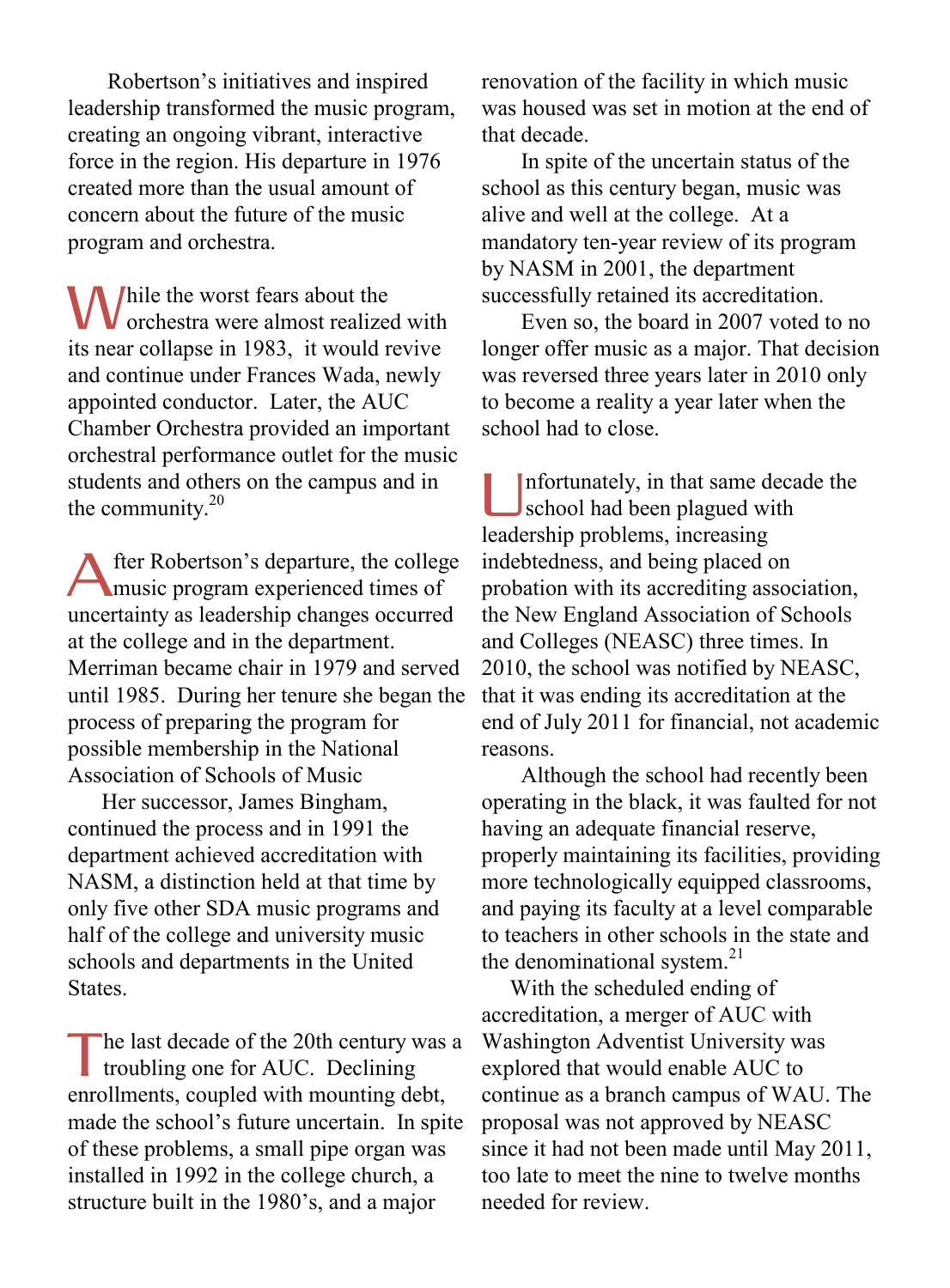Robertson's initiatives and inspired leadership transformed the music program, creating an ongoing vibrant, interactive force in the region. His departure in 1976 created more than the usual amount of concern about the future of the music program and orchestra.

While the worst fears about the orchestra were almost realized orchestra were almost realized with its near collapse in 1983, it would revive and continue under Frances Wada, newly appointed conductor. Later, the AUC Chamber Orchestra provided an important orchestral performance outlet for the music students and others on the campus and in the community. $20$ 

fter Robertson's departure, the college music program experienced times of uncertainty as leadership changes occurred at the college and in the department. Merriman became chair in 1979 and served until 1985. During her tenure she began the process of preparing the program for possible membership in the National Association of Schools of Music A

 Her successor, James Bingham, continued the process and in 1991 the department achieved accreditation with NASM, a distinction held at that time by only five other SDA music programs and half of the college and university music schools and departments in the United **States** 

he last decade of the 20th century was a troubling one for AUC. Declining enrollments, coupled with mounting debt, made the school's future uncertain. In spite of these problems, a small pipe organ was installed in 1992 in the college church, a structure built in the 1980's, and a major T

renovation of the facility in which music was housed was set in motion at the end of that decade.

 In spite of the uncertain status of the school as this century began, music was alive and well at the college. At a mandatory ten-year review of its program by NASM in 2001, the department successfully retained its accreditation.

 Even so, the board in 2007 voted to no longer offer music as a major. That decision was reversed three years later in 2010 only to become a reality a year later when the school had to close.

nfortunately, in that same decade the school had been plagued with leadership problems, increasing indebtedness, and being placed on probation with its accrediting association, the New England Association of Schools and Colleges (NEASC) three times. In 2010, the school was notified by NEASC, that it was ending its accreditation at the end of July 2011 for financial, not academic reasons. U

 Although the school had recently been operating in the black, it was faulted for not having an adequate financial reserve, properly maintaining its facilities, providing more technologically equipped classrooms, and paying its faculty at a level comparable to teachers in other schools in the state and the denominational system.<sup>21</sup>

 With the scheduled ending of accreditation, a merger of AUC with Washington Adventist University was explored that would enable AUC to continue as a branch campus of WAU. The proposal was not approved by NEASC since it had not been made until May 2011, too late to meet the nine to twelve months needed for review.